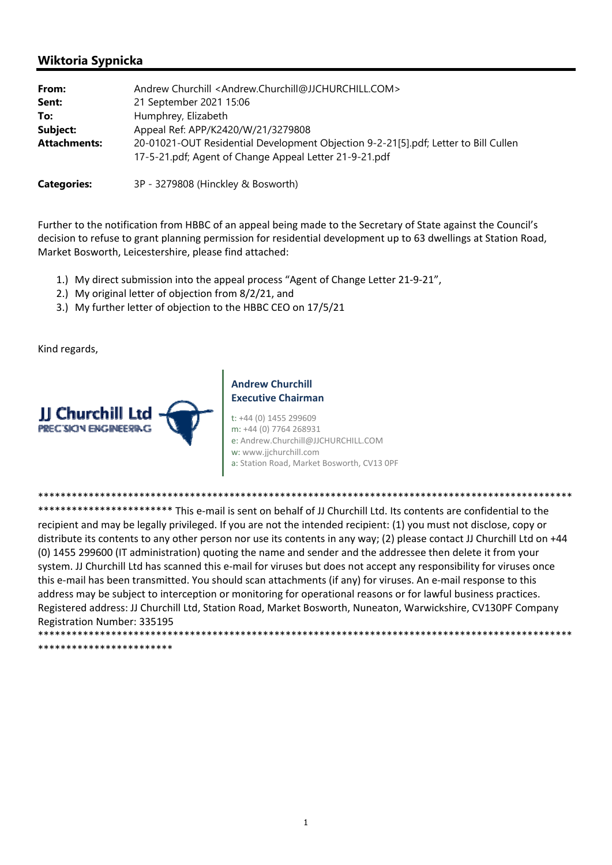# **Wiktoria Sypnicka**

| From:               | Andrew Churchill <andrew.churchill@jjchurchill.com></andrew.churchill@jjchurchill.com>                                                        |
|---------------------|-----------------------------------------------------------------------------------------------------------------------------------------------|
| Sent:               | 21 September 2021 15:06                                                                                                                       |
| To:                 | Humphrey, Elizabeth                                                                                                                           |
| Subject:            | Appeal Ref: APP/K2420/W/21/3279808                                                                                                            |
| <b>Attachments:</b> | 20-01021-OUT Residential Development Objection 9-2-21[5].pdf; Letter to Bill Cullen<br>17-5-21.pdf; Agent of Change Appeal Letter 21-9-21.pdf |
| <b>Categories:</b>  | 3P - 3279808 (Hinckley & Bosworth)                                                                                                            |

Further to the notification from HBBC of an appeal being made to the Secretary of State against the Council's decision to refuse to grant planning permission for residential development up to 63 dwellings at Station Road, Market Bosworth, Leicestershire, please find attached:

- 1.) My direct submission into the appeal process "Agent of Change Letter 21‐9‐21",
- 2.) My original letter of objection from 8/2/21, and
- 3.) My further letter of objection to the HBBC CEO on 17/5/21

Kind regards,



## **Andrew Churchill Executive Chairman**

t: +44 (0) 1455 299609 m: +44 (0) 7764 268931 e: Andrew.Churchill@JJCHURCHILL.COM w: www.jjchurchill.com a: Station Road, Market Bosworth, CV13 0PF

\*\*\*\*\*\*\*\*\*\*\*\*\*\*\*\*\*\*\*\*\*\*\*\*\*\*\*\*\*\*\*\*\*\*\*\*\*\*\*\*\*\*\*\*\*\*\*\*\*\*\*\*\*\*\*\*\*\*\*\*\*\*\*\*\*\*\*\*\*\*\*\*\*\*\*\*\*\*\*\*\*\*\*\*\*\*\*\*\*\*\*\*\*\*\*

\*\*\*\*\*\*\*\*\*\*\*\*\*\*\*\*\*\*\*\*\*\*\*\*\*\* This e-mail is sent on behalf of JJ Churchill Ltd. Its contents are confidential to the recipient and may be legally privileged. If you are not the intended recipient: (1) you must not disclose, copy or distribute its contents to any other person nor use its contents in any way; (2) please contact JJ Churchill Ltd on +44 (0) 1455 299600 (IT administration) quoting the name and sender and the addressee then delete it from your system. JJ Churchill Ltd has scanned this e-mail for viruses but does not accept any responsibility for viruses once this e-mail has been transmitted. You should scan attachments (if any) for viruses. An e-mail response to this address may be subject to interception or monitoring for operational reasons or for lawful business practices. Registered address: JJ Churchill Ltd, Station Road, Market Bosworth, Nuneaton, Warwickshire, CV130PF Company Registration Number: 335195 \*\*\*\*\*\*\*\*\*\*\*\*\*\*\*\*\*\*\*\*\*\*\*\*\*\*\*\*\*\*\*\*\*\*\*\*\*\*\*\*\*\*\*\*\*\*\*\*\*\*\*\*\*\*\*\*\*\*\*\*\*\*\*\*\*\*\*\*\*\*\*\*\*\*\*\*\*\*\*\*\*\*\*\*\*\*\*\*\*\*\*\*\*\*\*

\*\*\*\*\*\*\*\*\*\*\*\*\*\*\*\*\*\*\*\*\*\*\*\*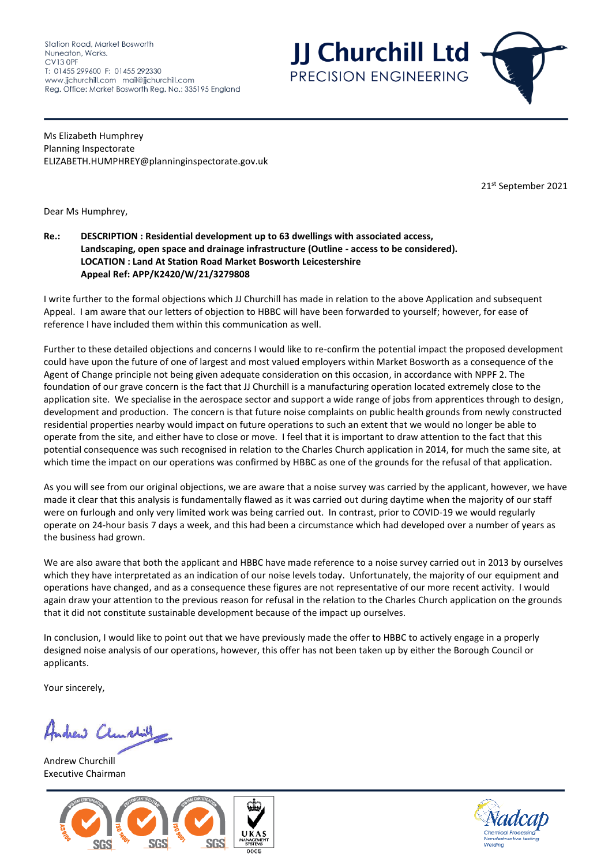Station Road, Market Bosworth Nuneaton, Warks.  $CV13$  OPE T: 01455 299600 F: 01455 292330 www.jjchurchill.com mail@jjchurchill.com Reg. Office: Market Bosworth Reg. No.: 335195 England **JJ Churchill Ltd** PRECISION ENGINEERING

Ms Elizabeth Humphrey Planning Inspectorate ELIZABETH.HUMPHREY@planninginspectorate.gov.uk

21 st September 2021

Dear Ms Humphrey,

#### **Re.: DESCRIPTION : Residential development up to 63 dwellings with associated access, Landscaping, open space and drainage infrastructure (Outline - access to be considered). LOCATION : Land At Station Road Market Bosworth Leicestershire Appeal Ref: APP/K2420/W/21/3279808**

I write further to the formal objections which JJ Churchill has made in relation to the above Application and subsequent Appeal. I am aware that our letters of objection to HBBC will have been forwarded to yourself; however, for ease of reference I have included them within this communication as well.

Further to these detailed objections and concerns I would like to re-confirm the potential impact the proposed development could have upon the future of one of largest and most valued employers within Market Bosworth as a consequence of the Agent of Change principle not being given adequate consideration on this occasion, in accordance with NPPF 2. The foundation of our grave concern is the fact that JJ Churchill is a manufacturing operation located extremely close to the application site. We specialise in the aerospace sector and support a wide range of jobs from apprentices through to design, development and production. The concern is that future noise complaints on public health grounds from newly constructed residential properties nearby would impact on future operations to such an extent that we would no longer be able to operate from the site, and either have to close or move. I feel that it is important to draw attention to the fact that this potential consequence was such recognised in relation to the Charles Church application in 2014, for much the same site, at which time the impact on our operations was confirmed by HBBC as one of the grounds for the refusal of that application.

As you will see from our original objections, we are aware that a noise survey was carried by the applicant, however, we have made it clear that this analysis is fundamentally flawed as it was carried out during daytime when the majority of our staff were on furlough and only very limited work was being carried out. In contrast, prior to COVID-19 we would regularly operate on 24-hour basis 7 days a week, and this had been a circumstance which had developed over a number of years as the business had grown.

We are also aware that both the applicant and HBBC have made reference to a noise survey carried out in 2013 by ourselves which they have interpretated as an indication of our noise levels today. Unfortunately, the majority of our equipment and operations have changed, and as a consequence these figures are not representative of our more recent activity. I would again draw your attention to the previous reason for refusal in the relation to the Charles Church application on the grounds that it did not constitute sustainable development because of the impact up ourselves.

In conclusion, I would like to point out that we have previously made the offer to HBBC to actively engage in a properly designed noise analysis of our operations, however, this offer has not been taken up by either the Borough Council or applicants.

Your sincerely,

Andrew Clangbill

Andrew Churchill Executive Chairman



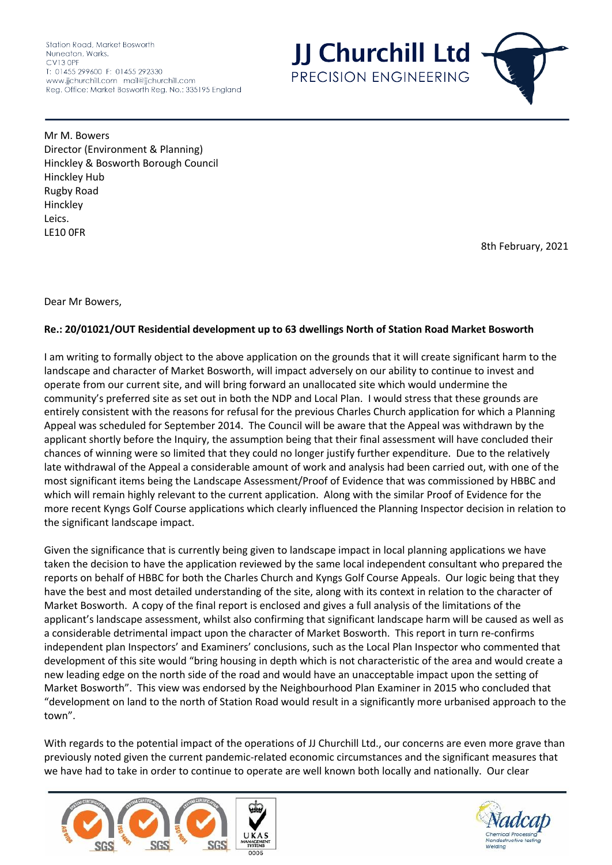Station Road, Market Bosworth Nuneaton, Warks. CV13 OPF T: 01455 299600 F: 01455 292330 www.jjchurchill.com mail@jjchurchill.com Reg. Office: Market Bosworth Reg. No.: 335195 England



Mr M. Bowers Director (Environment & Planning) Hinckley & Bosworth Borough Council Hinckley Hub Rugby Road Hinckley Leics. LE10 0FR

8th February, 2021

Dear Mr Bowers,

# **Re.: 20/01021/OUT Residential development up to 63 dwellings North of Station Road Market Bosworth**

I am writing to formally object to the above application on the grounds that it will create significant harm to the landscape and character of Market Bosworth, will impact adversely on our ability to continue to invest and operate from our current site, and will bring forward an unallocated site which would undermine the community's preferred site as set out in both the NDP and Local Plan. I would stress that these grounds are entirely consistent with the reasons for refusal for the previous Charles Church application for which a Planning Appeal was scheduled for September 2014. The Council will be aware that the Appeal was withdrawn by the applicant shortly before the Inquiry, the assumption being that their final assessment will have concluded their chances of winning were so limited that they could no longer justify further expenditure. Due to the relatively late withdrawal of the Appeal a considerable amount of work and analysis had been carried out, with one of the most significant items being the Landscape Assessment/Proof of Evidence that was commissioned by HBBC and which will remain highly relevant to the current application. Along with the similar Proof of Evidence for the more recent Kyngs Golf Course applications which clearly influenced the Planning Inspector decision in relation to the significant landscape impact.

Given the significance that is currently being given to landscape impact in local planning applications we have taken the decision to have the application reviewed by the same local independent consultant who prepared the reports on behalf of HBBC for both the Charles Church and Kyngs Golf Course Appeals. Our logic being that they have the best and most detailed understanding of the site, along with its context in relation to the character of Market Bosworth. A copy of the final report is enclosed and gives a full analysis of the limitations of the applicant's landscape assessment, whilst also confirming that significant landscape harm will be caused as well as a considerable detrimental impact upon the character of Market Bosworth. This report in turn re-confirms independent plan Inspectors' and Examiners' conclusions, such as the Local Plan Inspector who commented that development of this site would "bring housing in depth which is not characteristic of the area and would create a new leading edge on the north side of the road and would have an unacceptable impact upon the setting of Market Bosworth". This view was endorsed by the Neighbourhood Plan Examiner in 2015 who concluded that "development on land to the north of Station Road would result in a significantly more urbanised approach to the town".

With regards to the potential impact of the operations of JJ Churchill Ltd., our concerns are even more grave than previously noted given the current pandemic-related economic circumstances and the significant measures that we have had to take in order to continue to operate are well known both locally and nationally. Our clear



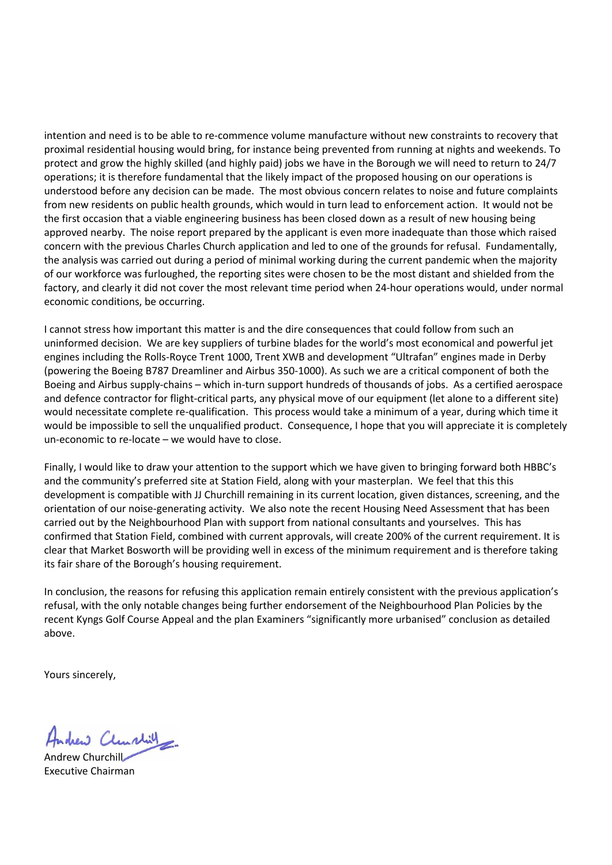intention and need is to be able to re-commence volume manufacture without new constraints to recovery that proximal residential housing would bring, for instance being prevented from running at nights and weekends. To protect and grow the highly skilled (and highly paid) jobs we have in the Borough we will need to return to 24/7 operations; it is therefore fundamental that the likely impact of the proposed housing on our operations is understood before any decision can be made. The most obvious concern relates to noise and future complaints from new residents on public health grounds, which would in turn lead to enforcement action. It would not be the first occasion that a viable engineering business has been closed down as a result of new housing being approved nearby. The noise report prepared by the applicant is even more inadequate than those which raised concern with the previous Charles Church application and led to one of the grounds for refusal. Fundamentally, the analysis was carried out during a period of minimal working during the current pandemic when the majority of our workforce was furloughed, the reporting sites were chosen to be the most distant and shielded from the factory, and clearly it did not cover the most relevant time period when 24-hour operations would, under normal economic conditions, be occurring.

I cannot stress how important this matter is and the dire consequences that could follow from such an uninformed decision. We are key suppliers of turbine blades for the world's most economical and powerful jet engines including the Rolls-Royce Trent 1000, Trent XWB and development "Ultrafan" engines made in Derby (powering the Boeing B787 Dreamliner and Airbus 350-1000). As such we are a critical component of both the Boeing and Airbus supply-chains – which in-turn support hundreds of thousands of jobs. As a certified aerospace and defence contractor for flight-critical parts, any physical move of our equipment (let alone to a different site) would necessitate complete re-qualification. This process would take a minimum of a year, during which time it would be impossible to sell the unqualified product. Consequence, I hope that you will appreciate it is completely un-economic to re-locate – we would have to close.

Finally, I would like to draw your attention to the support which we have given to bringing forward both HBBC's and the community's preferred site at Station Field, along with your masterplan. We feel that this this development is compatible with JJ Churchill remaining in its current location, given distances, screening, and the orientation of our noise-generating activity. We also note the recent Housing Need Assessment that has been carried out by the Neighbourhood Plan with support from national consultants and yourselves. This has confirmed that Station Field, combined with current approvals, will create 200% of the current requirement. It is clear that Market Bosworth will be providing well in excess of the minimum requirement and is therefore taking its fair share of the Borough's housing requirement.

In conclusion, the reasons for refusing this application remain entirely consistent with the previous application's refusal, with the only notable changes being further endorsement of the Neighbourhood Plan Policies by the recent Kyngs Golf Course Appeal and the plan Examiners "significantly more urbanised" conclusion as detailed above.

Yours sincerely,

schew Clunchill

Andrew Churchill Executive Chairman